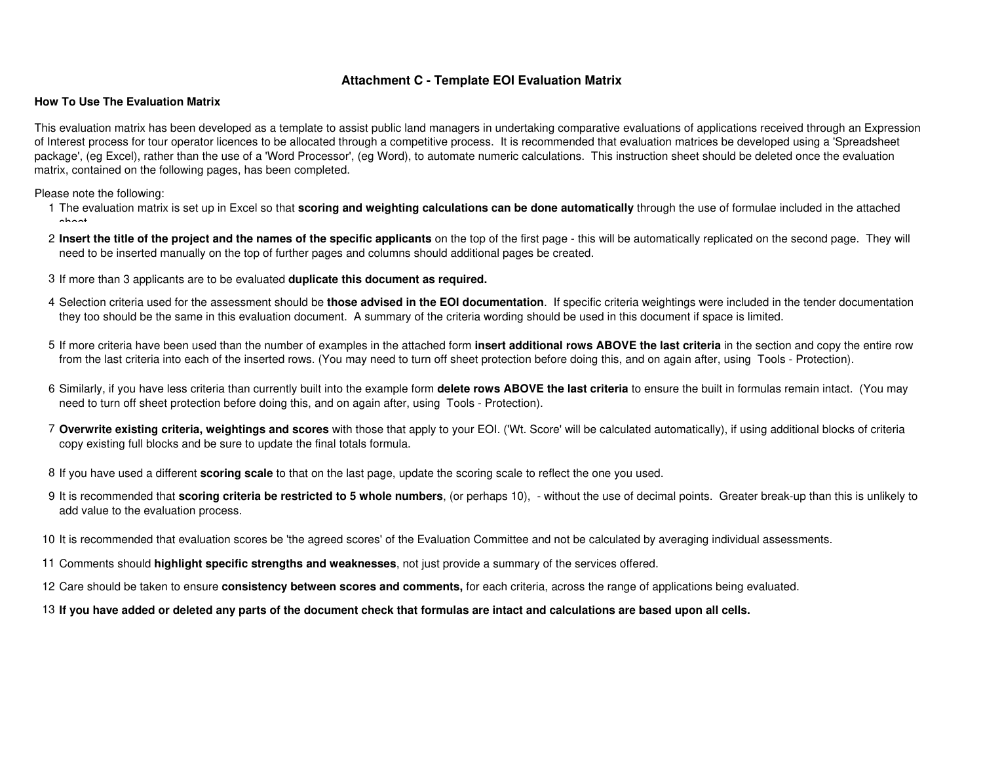## **Attachment C - Template EOI Evaluation Matrix**

## **How To Use The Evaluation Matrix**

This evaluation matrix has been developed as a template to assist public land managers in undertaking comparative evaluations of applications received through an Expression of Interest process for tour operator licences to be allocated through a competitive process. It is recommended that evaluation matrices be developed using a 'Spreadsheet package', (eg Excel), rather than the use of a 'Word Processor', (eg Word), to automate numeric calculations. This instruction sheet should be deleted once the evaluation matrix, contained on the following pages, has been completed.

Please note the following:

- 1The evaluation matrix is set up in Excel so that **scoring and weighting calculations can be done automatically** through the use of formulae included in the attached ahoot.
- 2**Insert the title of the project and the names of the specific applicants** on the top of the first page this will be automatically replicated on the second page. They will need to be inserted manually on the top of further pages and columns should additional pages be created.
- 3If more than 3 applicants are to be evaluated **duplicate this document as required.**
- 4Selection criteria used for the assessment should be **those advised in the EOI documentation**. If specific criteria weightings were included in the tender documentation they too should be the same in this evaluation document. A summary of the criteria wording should be used in this document if space is limited.
- 5If more criteria have been used than the number of examples in the attached form **insert additional rows ABOVE the last criteria** in the section and copy the entire row from the last criteria into each of the inserted rows. (You may need to turn off sheet protection before doing this, and on again after, using Tools - Protection).
- 6Similarly, if you have less criteria than currently built into the example form **delete rows ABOVE the last criteria** to ensure the built in formulas remain intact. (You may need to turn off sheet protection before doing this, and on again after, using Tools - Protection).
- 7**Overwrite existing criteria, weightings and scores** with those that apply to your EOI. ('Wt. Score' will be calculated automatically), if using additional blocks of criteria copy existing full blocks and be sure to update the final totals formula.
- 8If you have used a different **scoring scale** to that on the last page, update the scoring scale to reflect the one you used.
- 9It is recommended that **scoring criteria be restricted to 5 whole numbers**, (or perhaps 10), without the use of decimal points. Greater break-up than this is unlikely to add value to the evaluation process.
- 10 It is recommended that evaluation scores be 'the agreed scores' of the Evaluation Committee and not be calculated by averaging individual assessments.
- 11Comments should **highlight specific strengths and weaknesses**, not just provide a summary of the services offered.
- 12 Care should be taken to ensure **consistency between scores and comments,** for each criteria, across the range of applications being evaluated.
- 13**If you have added or deleted any parts of the document check that formulas are intact and calculations are based upon all cells.**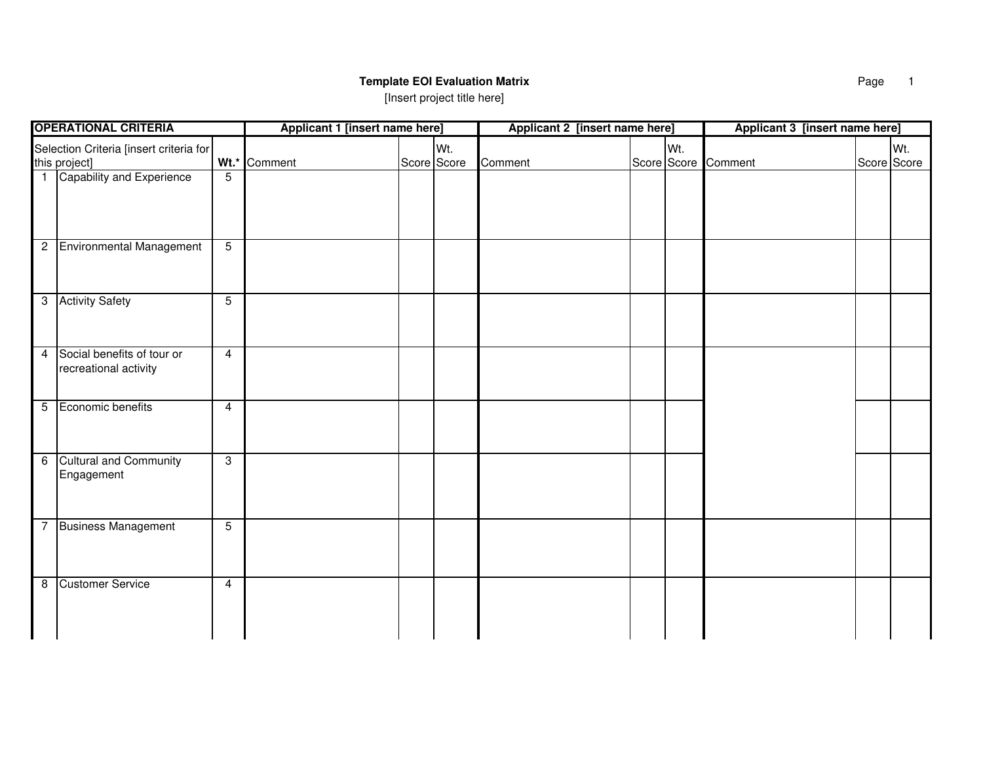## **Template EOI Evaluation Matrix**

[Insert project title here]

| <b>OPERATIONAL CRITERIA</b>                                             | Applicant 1 [insert name here] |             | Applicant 2 [insert name here] |                     | Applicant 3 [insert name here] |  |             |
|-------------------------------------------------------------------------|--------------------------------|-------------|--------------------------------|---------------------|--------------------------------|--|-------------|
| Selection Criteria [insert criteria for                                 |                                | Wt.         |                                | Wt.                 |                                |  | Wt.         |
| this project]                                                           | Wt.* Comment                   | Score Score | Comment                        | Score Score Comment |                                |  | Score Score |
| 1 Capability and Experience<br>$\overline{5}$                           |                                |             |                                |                     |                                |  |             |
| 2 Environmental Management<br>$\overline{5}$                            |                                |             |                                |                     |                                |  |             |
| 3 Activity Safety<br>$\overline{5}$                                     |                                |             |                                |                     |                                |  |             |
| 4 Social benefits of tour or<br>$\overline{4}$<br>recreational activity |                                |             |                                |                     |                                |  |             |
| 5 Economic benefits<br>$\overline{4}$                                   |                                |             |                                |                     |                                |  |             |
| <b>Cultural and Community</b><br>$\overline{\omega}$<br>6<br>Engagement |                                |             |                                |                     |                                |  |             |
| 7 Business Management<br>$\overline{5}$                                 |                                |             |                                |                     |                                |  |             |
| 8 Customer Service<br>$\overline{4}$                                    |                                |             |                                |                     |                                |  |             |

Page 1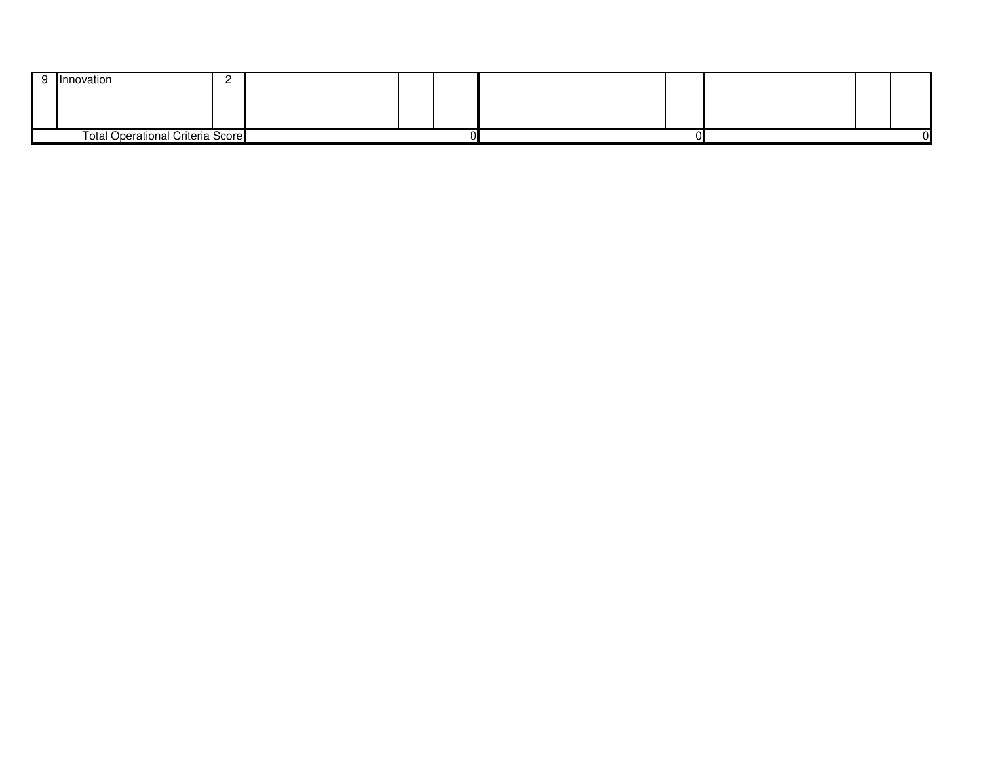|                                         | Innovation |  |  |  |  |  |  |  |
|-----------------------------------------|------------|--|--|--|--|--|--|--|
|                                         |            |  |  |  |  |  |  |  |
|                                         |            |  |  |  |  |  |  |  |
|                                         |            |  |  |  |  |  |  |  |
| <b>Total Operational Criteria Score</b> |            |  |  |  |  |  |  |  |